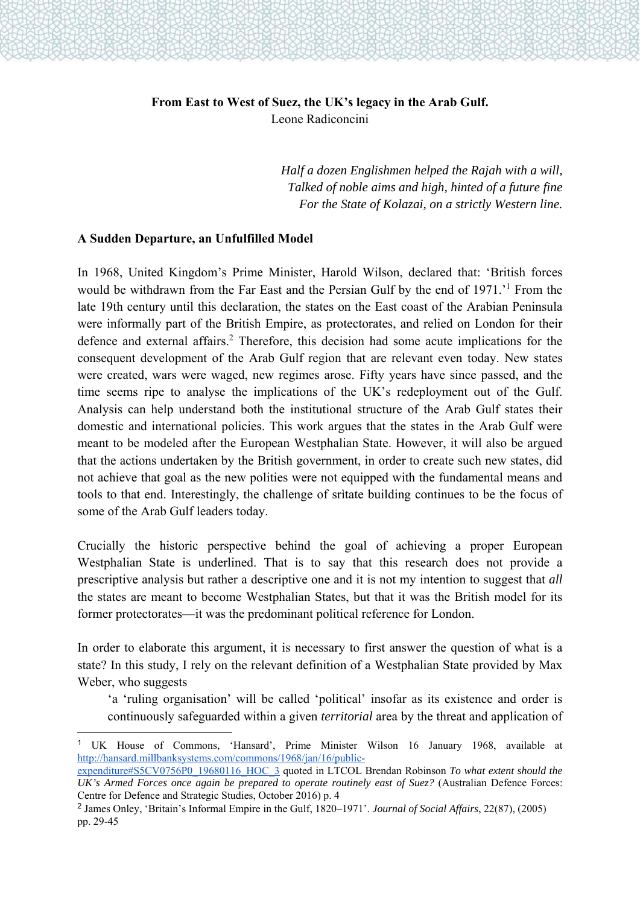# **From East to West of Suez, the UK's legacy in the Arab Gulf.**  Leone Radiconcini

*Half a dozen Englishmen helped the Rajah with a will, Talked of noble aims and high, hinted of a future fine For the State of Kolazai, on a strictly Western line.*

#### **A Sudden Departure, an Unfulfilled Model**

1

In 1968, United Kingdom's Prime Minister, Harold Wilson, declared that: 'British forces would be withdrawn from the Far East and the Persian Gulf by the end of 1971.<sup>1</sup> From the late 19th century until this declaration, the states on the East coast of the Arabian Peninsula were informally part of the British Empire, as protectorates, and relied on London for their defence and external affairs.<sup>2</sup> Therefore, this decision had some acute implications for the consequent development of the Arab Gulf region that are relevant even today. New states were created, wars were waged, new regimes arose. Fifty years have since passed, and the time seems ripe to analyse the implications of the UK's redeployment out of the Gulf. Analysis can help understand both the institutional structure of the Arab Gulf states their domestic and international policies. This work argues that the states in the Arab Gulf were meant to be modeled after the European Westphalian State. However, it will also be argued that the actions undertaken by the British government, in order to create such new states, did not achieve that goal as the new polities were not equipped with the fundamental means and tools to that end. Interestingly, the challenge of srìtate building continues to be the focus of some of the Arab Gulf leaders today.

Crucially the historic perspective behind the goal of achieving a proper European Westphalian State is underlined. That is to say that this research does not provide a prescriptive analysis but rather a descriptive one and it is not my intention to suggest that *all*  the states are meant to become Westphalian States, but that it was the British model for its former protectorates—it was the predominant political reference for London.

In order to elaborate this argument, it is necessary to first answer the question of what is a state? In this study, I rely on the relevant definition of a Westphalian State provided by Max Weber, who suggests

'a 'ruling organisation' will be called 'political' insofar as its existence and order is continuously safeguarded within a given *territorial* area by the threat and application of

<sup>1</sup> UK House of Commons, 'Hansard', Prime Minister Wilson 16 January 1968, available at http://hansard.millbanksystems.com/commons/1968/jan/16/public-

expenditure#S5CV0756P0\_19680116\_HOC\_3 quoted in LTCOL Brendan Robinson *To what extent should the*  UK's Armed Forces once again be prepared to operate routinely east of Suez? (Australian Defence Forces: Centre for Defence and Strategic Studies, October 2016) p. 4

<sup>2</sup> James Onley, 'Britain's Informal Empire in the Gulf, 1820–1971'. *Journal of Social Affairs*, 22(87), (2005) pp. 29-45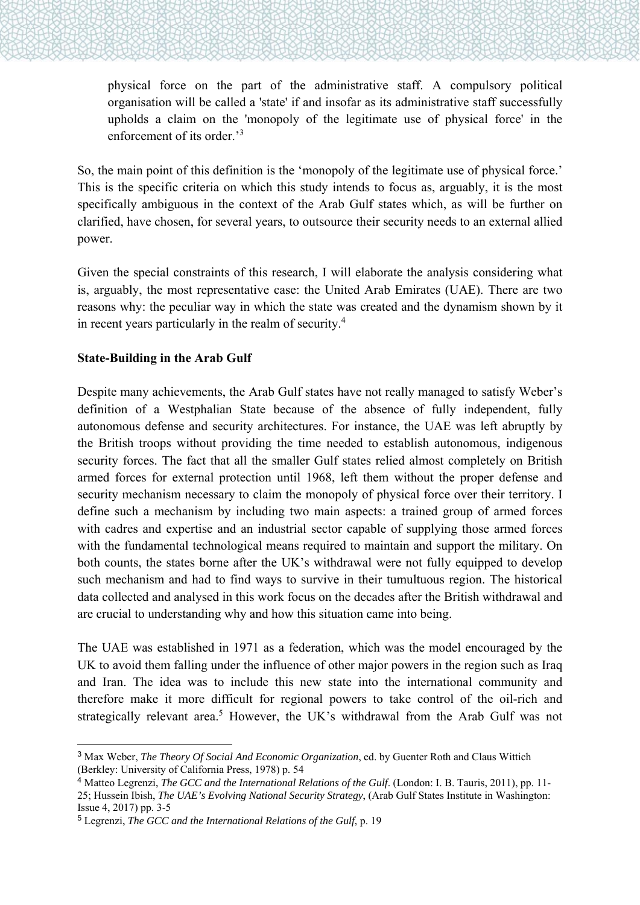physical force on the part of the administrative staff. A compulsory political organisation will be called a 'state' if and insofar as its administrative staff successfully upholds a claim on the 'monopoly of the legitimate use of physical force' in the enforcement of its order.<sup>3</sup>

So, the main point of this definition is the 'monopoly of the legitimate use of physical force.' This is the specific criteria on which this study intends to focus as, arguably, it is the most specifically ambiguous in the context of the Arab Gulf states which, as will be further on clarified, have chosen, for several years, to outsource their security needs to an external allied power.

Given the special constraints of this research, I will elaborate the analysis considering what is, arguably, the most representative case: the United Arab Emirates (UAE). There are two reasons why: the peculiar way in which the state was created and the dynamism shown by it in recent years particularly in the realm of security.<sup>4</sup>

## **State-Building in the Arab Gulf**

 $\overline{a}$ 

Despite many achievements, the Arab Gulf states have not really managed to satisfy Weber's definition of a Westphalian State because of the absence of fully independent, fully autonomous defense and security architectures. For instance, the UAE was left abruptly by the British troops without providing the time needed to establish autonomous, indigenous security forces. The fact that all the smaller Gulf states relied almost completely on British armed forces for external protection until 1968, left them without the proper defense and security mechanism necessary to claim the monopoly of physical force over their territory. I define such a mechanism by including two main aspects: a trained group of armed forces with cadres and expertise and an industrial sector capable of supplying those armed forces with the fundamental technological means required to maintain and support the military. On both counts, the states borne after the UK's withdrawal were not fully equipped to develop such mechanism and had to find ways to survive in their tumultuous region. The historical data collected and analysed in this work focus on the decades after the British withdrawal and are crucial to understanding why and how this situation came into being.

The UAE was established in 1971 as a federation, which was the model encouraged by the UK to avoid them falling under the influence of other major powers in the region such as Iraq and Iran. The idea was to include this new state into the international community and therefore make it more difficult for regional powers to take control of the oil-rich and strategically relevant area.<sup>5</sup> However, the UK's withdrawal from the Arab Gulf was not

<sup>3</sup> Max Weber, *The Theory Of Social And Economic Organization*, ed. by Guenter Roth and Claus Wittich (Berkley: University of California Press, 1978) p. 54

<sup>4</sup> Matteo Legrenzi, *The GCC and the International Relations of the Gulf*. (London: I. B. Tauris, 2011), pp. 11- 25; Hussein Ibish, *The UAE's Evolving National Security Strategy*, (Arab Gulf States Institute in Washington: Issue 4, 2017) pp. 3-5

<sup>5</sup> Legrenzi, *The GCC and the International Relations of the Gulf*, p. 19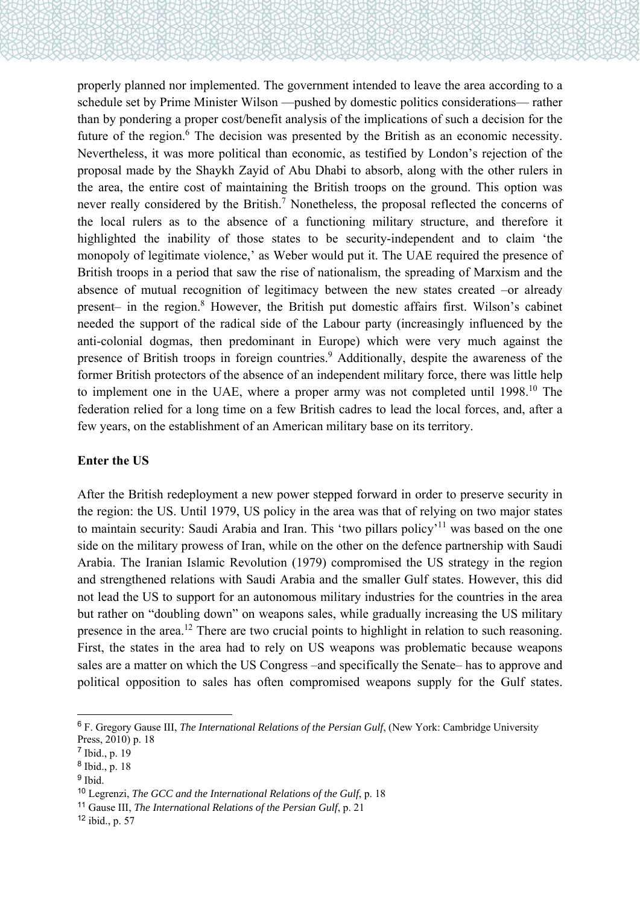properly planned nor implemented. The government intended to leave the area according to a schedule set by Prime Minister Wilson —pushed by domestic politics considerations— rather than by pondering a proper cost/benefit analysis of the implications of such a decision for the future of the region.<sup>6</sup> The decision was presented by the British as an economic necessity. Nevertheless, it was more political than economic, as testified by London's rejection of the proposal made by the Shaykh Zayid of Abu Dhabi to absorb, along with the other rulers in the area, the entire cost of maintaining the British troops on the ground. This option was never really considered by the British.<sup>7</sup> Nonetheless, the proposal reflected the concerns of the local rulers as to the absence of a functioning military structure, and therefore it highlighted the inability of those states to be security-independent and to claim 'the monopoly of legitimate violence,' as Weber would put it. The UAE required the presence of British troops in a period that saw the rise of nationalism, the spreading of Marxism and the absence of mutual recognition of legitimacy between the new states created –or already present- in the region.<sup>8</sup> However, the British put domestic affairs first. Wilson's cabinet needed the support of the radical side of the Labour party (increasingly influenced by the anti-colonial dogmas, then predominant in Europe) which were very much against the presence of British troops in foreign countries.<sup>9</sup> Additionally, despite the awareness of the former British protectors of the absence of an independent military force, there was little help to implement one in the UAE, where a proper army was not completed until 1998.<sup>10</sup> The federation relied for a long time on a few British cadres to lead the local forces, and, after a few years, on the establishment of an American military base on its territory.

### **Enter the US**

After the British redeployment a new power stepped forward in order to preserve security in the region: the US. Until 1979, US policy in the area was that of relying on two major states to maintain security: Saudi Arabia and Iran. This 'two pillars policy'<sup>11</sup> was based on the one side on the military prowess of Iran, while on the other on the defence partnership with Saudi Arabia. The Iranian Islamic Revolution (1979) compromised the US strategy in the region and strengthened relations with Saudi Arabia and the smaller Gulf states. However, this did not lead the US to support for an autonomous military industries for the countries in the area but rather on "doubling down" on weapons sales, while gradually increasing the US military presence in the area.<sup>12</sup> There are two crucial points to highlight in relation to such reasoning. First, the states in the area had to rely on US weapons was problematic because weapons sales are a matter on which the US Congress –and specifically the Senate– has to approve and political opposition to sales has often compromised weapons supply for the Gulf states.

-

<sup>6</sup> F. Gregory Gause III, *The International Relations of the Persian Gulf*, (New York: Cambridge University Press, 2010) p. 18

<sup>7</sup> Ibid., p. 19

<sup>8</sup> Ibid., p. 18

<sup>&</sup>lt;sup>9</sup> Ibid.

<sup>10</sup> Legrenzi, *The GCC and the International Relations of the Gulf*, p. 18

<sup>11</sup> Gause III, *The International Relations of the Persian Gulf*, p. 21

 $12$  ibid., p. 57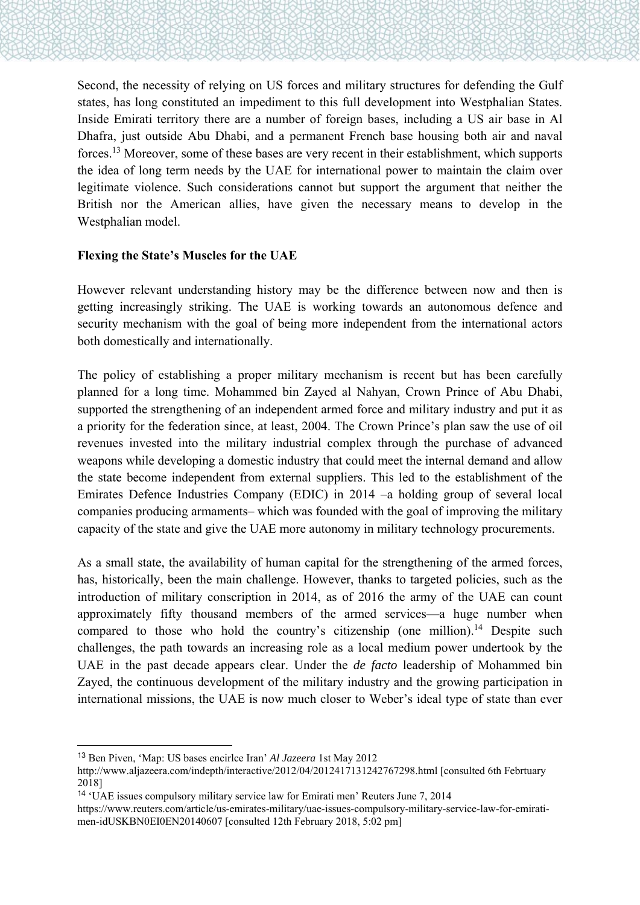Second, the necessity of relying on US forces and military structures for defending the Gulf states, has long constituted an impediment to this full development into Westphalian States. Inside Emirati territory there are a number of foreign bases, including a US air base in Al Dhafra, just outside Abu Dhabi, and a permanent French base housing both air and naval forces.13 Moreover, some of these bases are very recent in their establishment, which supports the idea of long term needs by the UAE for international power to maintain the claim over legitimate violence. Such considerations cannot but support the argument that neither the British nor the American allies, have given the necessary means to develop in the Westphalian model.

#### **Flexing the State's Muscles for the UAE**

However relevant understanding history may be the difference between now and then is getting increasingly striking. The UAE is working towards an autonomous defence and security mechanism with the goal of being more independent from the international actors both domestically and internationally.

The policy of establishing a proper military mechanism is recent but has been carefully planned for a long time. Mohammed bin Zayed al Nahyan, Crown Prince of Abu Dhabi, supported the strengthening of an independent armed force and military industry and put it as a priority for the federation since, at least, 2004. The Crown Prince's plan saw the use of oil revenues invested into the military industrial complex through the purchase of advanced weapons while developing a domestic industry that could meet the internal demand and allow the state become independent from external suppliers. This led to the establishment of the Emirates Defence Industries Company (EDIC) in 2014 –a holding group of several local companies producing armaments– which was founded with the goal of improving the military capacity of the state and give the UAE more autonomy in military technology procurements.

As a small state, the availability of human capital for the strengthening of the armed forces, has, historically, been the main challenge. However, thanks to targeted policies, such as the introduction of military conscription in 2014, as of 2016 the army of the UAE can count approximately fifty thousand members of the armed services—a huge number when compared to those who hold the country's citizenship (one million).<sup>14</sup> Despite such challenges, the path towards an increasing role as a local medium power undertook by the UAE in the past decade appears clear. Under the *de facto* leadership of Mohammed bin Zayed, the continuous development of the military industry and the growing participation in international missions, the UAE is now much closer to Weber's ideal type of state than ever

 $\overline{a}$ 

<sup>13</sup> Ben Piven, 'Map: US bases encirlce Iran' *Al Jazeera* 1st May 2012

http://www.aljazeera.com/indepth/interactive/2012/04/2012417131242767298.html [consulted 6th Febrtuary 2018]

<sup>14</sup> 'UAE issues compulsory military service law for Emirati men' Reuters June 7, 2014

https://www.reuters.com/article/us-emirates-military/uae-issues-compulsory-military-service-law-for-emiratimen-idUSKBN0EI0EN20140607 [consulted 12th February 2018, 5:02 pm]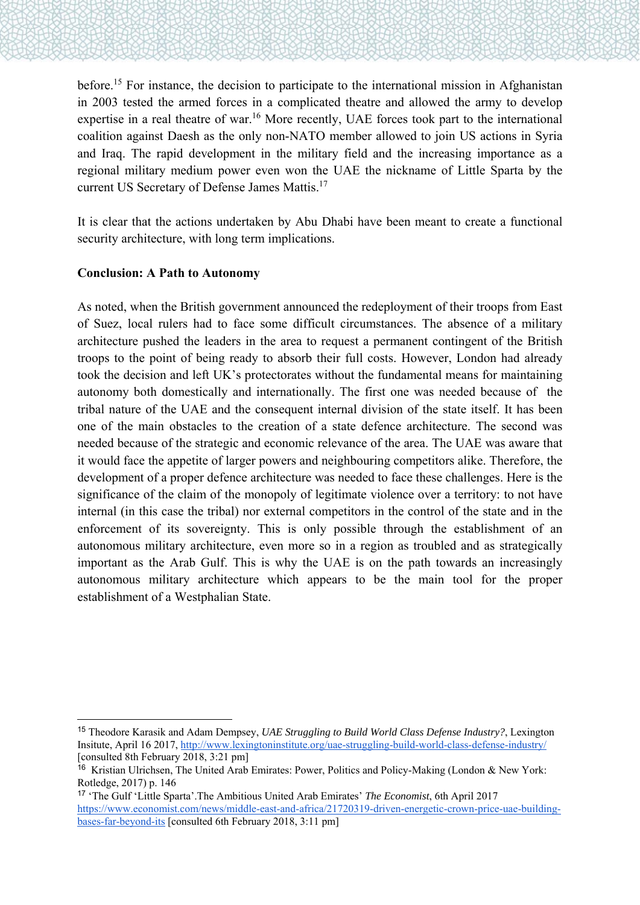before.<sup>15</sup> For instance, the decision to participate to the international mission in Afghanistan in 2003 tested the armed forces in a complicated theatre and allowed the army to develop expertise in a real theatre of war.<sup>16</sup> More recently, UAE forces took part to the international coalition against Daesh as the only non-NATO member allowed to join US actions in Syria and Iraq. The rapid development in the military field and the increasing importance as a regional military medium power even won the UAE the nickname of Little Sparta by the current US Secretary of Defense James Mattis.17

It is clear that the actions undertaken by Abu Dhabi have been meant to create a functional security architecture, with long term implications.

### **Conclusion: A Path to Autonomy**

1

As noted, when the British government announced the redeployment of their troops from East of Suez, local rulers had to face some difficult circumstances. The absence of a military architecture pushed the leaders in the area to request a permanent contingent of the British troops to the point of being ready to absorb their full costs. However, London had already took the decision and left UK's protectorates without the fundamental means for maintaining autonomy both domestically and internationally. The first one was needed because of the tribal nature of the UAE and the consequent internal division of the state itself. It has been one of the main obstacles to the creation of a state defence architecture. The second was needed because of the strategic and economic relevance of the area. The UAE was aware that it would face the appetite of larger powers and neighbouring competitors alike. Therefore, the development of a proper defence architecture was needed to face these challenges. Here is the significance of the claim of the monopoly of legitimate violence over a territory: to not have internal (in this case the tribal) nor external competitors in the control of the state and in the enforcement of its sovereignty. This is only possible through the establishment of an autonomous military architecture, even more so in a region as troubled and as strategically important as the Arab Gulf. This is why the UAE is on the path towards an increasingly autonomous military architecture which appears to be the main tool for the proper establishment of a Westphalian State.

<sup>15</sup> Theodore Karasik and Adam Dempsey, *UAE Struggling to Build World Class Defense Industry?*, Lexington Insitute, April 16 2017, http://www.lexingtoninstitute.org/uae-struggling-build-world-class-defense-industry/ [consulted 8th February 2018, 3:21 pm]

<sup>16</sup> Kristian Ulrichsen, The United Arab Emirates: Power, Politics and Policy-Making (London & New York: Rotledge, 2017) p. 146

<sup>17</sup> 'The Gulf 'Little Sparta'.The Ambitious United Arab Emirates' *The Economist*, 6th April 2017 https://www.economist.com/news/middle-east-and-africa/21720319-driven-energetic-crown-price-uae-buildingbases-far-beyond-its [consulted 6th February 2018, 3:11 pm]